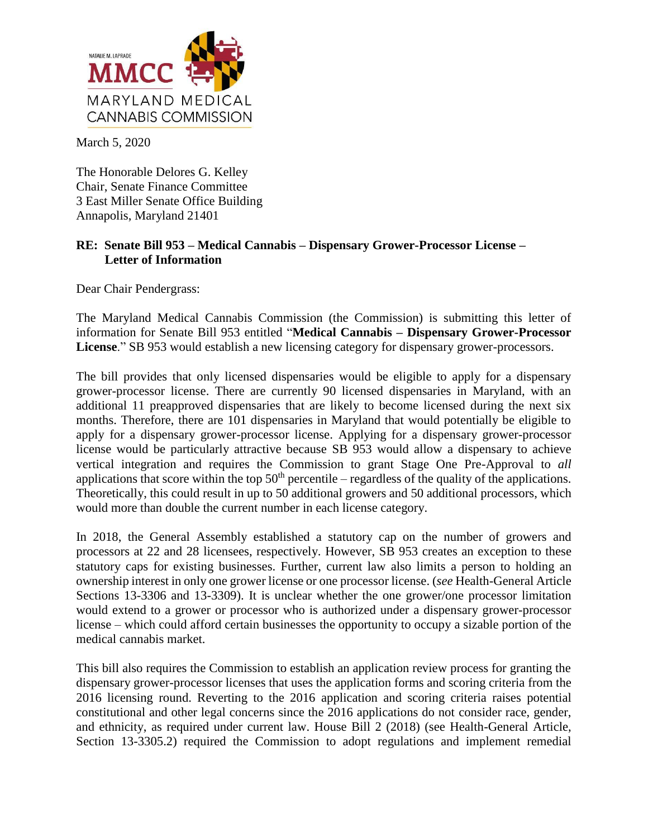

March 5, 2020

The Honorable Delores G. Kelley Chair, Senate Finance Committee 3 East Miller Senate Office Building Annapolis, Maryland 21401

## **RE: Senate Bill 953 – Medical Cannabis – Dispensary Grower-Processor License – Letter of Information**

Dear Chair Pendergrass:

The Maryland Medical Cannabis Commission (the Commission) is submitting this letter of information for Senate Bill 953 entitled "**Medical Cannabis – Dispensary Grower-Processor License**." SB 953 would establish a new licensing category for dispensary grower-processors.

The bill provides that only licensed dispensaries would be eligible to apply for a dispensary grower-processor license. There are currently 90 licensed dispensaries in Maryland, with an additional 11 preapproved dispensaries that are likely to become licensed during the next six months. Therefore, there are 101 dispensaries in Maryland that would potentially be eligible to apply for a dispensary grower-processor license. Applying for a dispensary grower-processor license would be particularly attractive because SB 953 would allow a dispensary to achieve vertical integration and requires the Commission to grant Stage One Pre-Approval to *all*  applications that score within the top  $50<sup>th</sup>$  percentile – regardless of the quality of the applications. Theoretically, this could result in up to 50 additional growers and 50 additional processors, which would more than double the current number in each license category.

In 2018, the General Assembly established a statutory cap on the number of growers and processors at 22 and 28 licensees, respectively. However, SB 953 creates an exception to these statutory caps for existing businesses. Further, current law also limits a person to holding an ownership interest in only one grower license or one processor license. (*see* Health-General Article Sections 13-3306 and 13-3309). It is unclear whether the one grower/one processor limitation would extend to a grower or processor who is authorized under a dispensary grower-processor license – which could afford certain businesses the opportunity to occupy a sizable portion of the medical cannabis market.

This bill also requires the Commission to establish an application review process for granting the dispensary grower-processor licenses that uses the application forms and scoring criteria from the 2016 licensing round. Reverting to the 2016 application and scoring criteria raises potential constitutional and other legal concerns since the 2016 applications do not consider race, gender, and ethnicity, as required under current law. House Bill 2 (2018) (see Health-General Article, Section 13-3305.2) required the Commission to adopt regulations and implement remedial